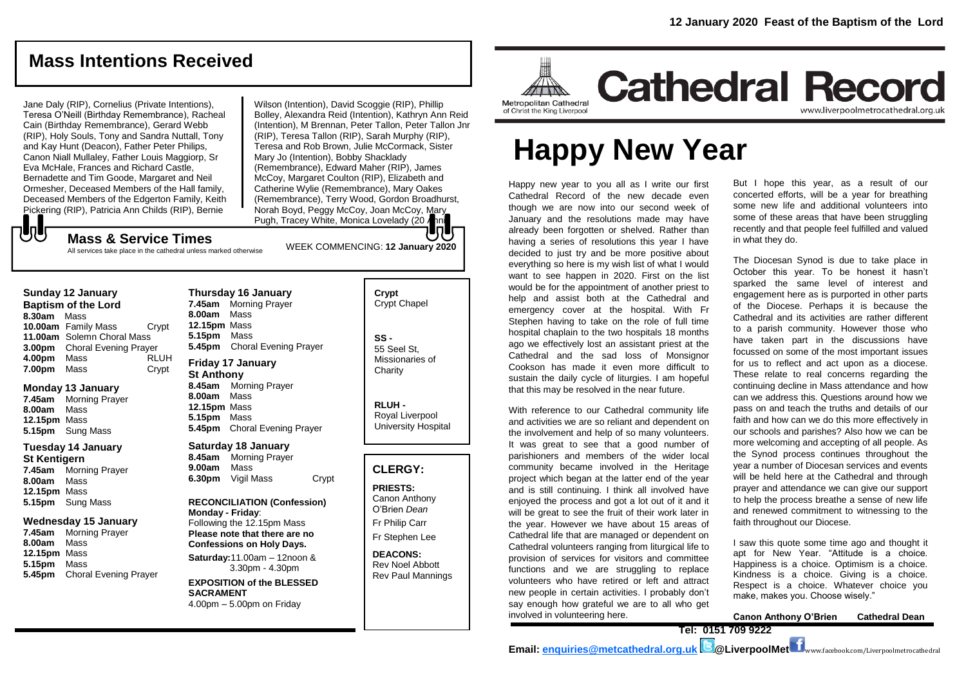# **Mass Intentions Received**

Jane Daly (RIP), Cornelius (Private Intentions), Teresa O'Neill (Birthday Remembrance), Racheal Cain (Birthday Remembrance), Gerard Webb (RIP), Holy Souls, Tony and Sandra Nuttall, Tony and Kay Hunt (Deacon), Father Peter Philips, Canon Niall Mullaley, Father Louis Maggiorp, Sr Eva McHale, Frances and Richard Castle, Bernadette and Tim Goode, Margaret and Neil Ormesher, Deceased Members of the Hall family, Deceased Members of the Edgerton Family, Keith Pickering (RIP), Patricia Ann Childs (RIP), Bernie

Wilson (Intention), David Scoggie (RIP), Phillip Bolley, Alexandra Reid (Intention), Kathryn Ann Reid (Intention), M Brennan, Peter Tallon, Peter Tallon Jnr (RIP), Teresa Tallon (RIP), Sarah Murphy (RIP), Teresa and Rob Brown, Julie McCormack, Sister Mary Jo (Intention), Bobby Shacklady (Remembrance), Edward Maher (RIP), James McCoy, Margaret Coulton (RIP), Elizabeth and Catherine Wylie (Remembrance), Mary Oakes (Remembrance), Terry Wood, Gordon Broadhurst, Norah Boyd, Peggy McCoy, Joan McCoy, Mary Pugh, Tracey White, Monica Lovelady (20 Anni RIP).

## JJ WEEK COMMENCING: **12 January 2020 Mass & Service Times**

All services take place in the cathedral unless marked otherwise

### **Sunday 12 January**

**Baptism of the Lord 8.30am** Mass **10.00am** Family Mass Crypt **11.00am** Solemn Choral Mass **3.00pm** Choral Evening Prayer<br>**4.00pm** Mass RLUH **4.00pm** Mass **7.00pm** Mass Crypt

#### **Monday 13 January**

**7.45am** Morning Prayer **8.00am** Mass **12.15pm** Mass **5.15pm** Sung Mass

#### **Tuesday 14 January St Kentigern**

**7.45am** Morning Prayer **8.00am** Mass **12.15pm** Mass **5.15pm** Sung Mass

#### **Wednesday 15 January**

**7.45am** Morning Prayer **8.00am** Mass **12.15pm** Mass **5.15pm** Mass **5.45pm** Choral Evening Prayer

**Thursday 16 January 7.45am** Morning Prayer **8.00am** Mass **12.15pm** Mass **5.15pm** Mass **5.45pm** Choral Evening Prayer

#### **Friday 17 January St Anthony 8.45am** Morning Prayer **8.00am** Mass **12.15pm** Mass **5.15pm** Mass

**5.45pm** Choral Evening Prayer

**Saturday 18 January 8.45am** Morning Prayer **9.00am** Mass

**6.30pm** Vigil Mass Crypt

#### **RECONCILIATION (Confession) Monday - Friday**: Following the 12.15pm Mass

**Please note that there are no Confessions on Holy Days.**

**Saturday:**11.00am – 12noon & 3.30pm - 4.30pm

**EXPOSITION of the BLESSED SACRAMENT** 4.00pm – 5.00pm on Friday

## **Crypt**  Crypt Chapel

**SS -** 55 Seel St, Missionaries of **Charity** 

**RLUH -** Royal Liverpool University Hospital

## **CLERGY:**

**PRIESTS:** Canon Anthony O'Brien *Dean* Fr Philip Carr

Fr Stephen Lee

**DEACONS:** Rev Noel Abbott Rev Paul Mannings



# **Happy New Year**

Happy new year to you all as I write our first Cathedral Record of the new decade even though we are now into our second week of January and the resolutions made may have already been forgotten or shelved. Rather than having a series of resolutions this year I have decided to just try and be more positive about everything so here is my wish list of what I would want to see happen in 2020. First on the list would be for the appointment of another priest to help and assist both at the Cathedral and emergency cover at the hospital. With Fr Stephen having to take on the role of full time hospital chaplain to the two hospitals 18 months ago we effectively lost an assistant priest at the Cathedral and the sad loss of Monsignor Cookson has made it even more difficult to sustain the daily cycle of liturgies. I am hopeful that this may be resolved in the near future.

With reference to our Cathedral community life and activities we are so reliant and dependent on the involvement and help of so many volunteers. It was great to see that a good number of parishioners and members of the wider local community became involved in the Heritage project which began at the latter end of the year and is still continuing. I think all involved have enjoyed the process and got a lot out of it and it will be great to see the fruit of their work later in the year. However we have about 15 areas of Cathedral life that are managed or dependent on Cathedral volunteers ranging from liturgical life to provision of services for visitors and committee functions and we are struggling to replace volunteers who have retired or left and attract new people in certain activities. I probably don't say enough how grateful we are to all who get involved in volunteering here.

But I hope this year, as a result of our concerted efforts, will be a year for breathing some new life and additional volunteers into some of these areas that have been struggling recently and that people feel fulfilled and valued in what they do.

www.liverpoolmetrocathedral.org.uk

The Diocesan Synod is due to take place in October this year. To be honest it hasn't sparked the same level of interest and engagement here as is purported in other parts of the Diocese. Perhaps it is because the Cathedral and its activities are rather different to a parish community. However those who have taken part in the discussions have focussed on some of the most important issues for us to reflect and act upon as a diocese. These relate to real concerns regarding the continuing decline in Mass attendance and how can we address this. Questions around how we pass on and teach the truths and details of our faith and how can we do this more effectively in our schools and parishes? Also how we can be more welcoming and accepting of all people. As the Synod process continues throughout the year a number of Diocesan services and events will be held here at the Cathedral and through prayer and attendance we can give our support to help the process breathe a sense of new life and renewed commitment to witnessing to the faith throughout our Diocese.

I saw this quote some time ago and thought it apt for New Year. "Attitude is a choice. Happiness is a choice. Optimism is a choice. Kindness is a choice. Giving is a choice. Respect is a choice. Whatever choice you make, makes you. Choose wisely."

**Canon Anthony O'Brien Cathedral Dean**

**Tel: 0151 709 9222**